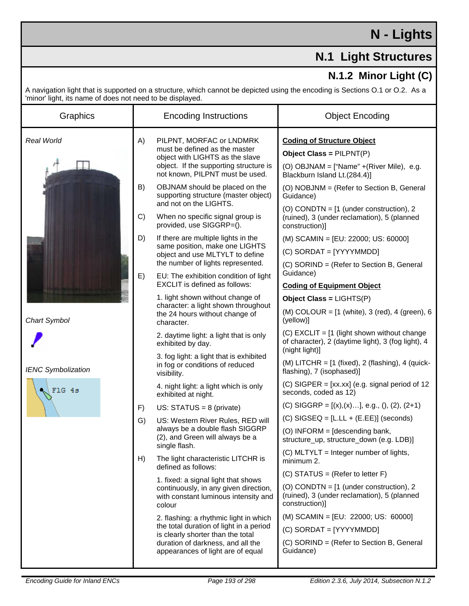## **N - Lights**

## **N.1 Light Structures**

## **N.1.2 Minor Light (C)**

A navigation light that is supported on a structure, which cannot be depicted using the encoding is Sections O.1 or O.2. As a 'minor' light, its name of does not need to be displayed.

| Graphics                   | <b>Encoding Instructions</b>                                                                                                                                                                                                                                                              | <b>Object Encoding</b>                                                                                                                                                                                 |
|----------------------------|-------------------------------------------------------------------------------------------------------------------------------------------------------------------------------------------------------------------------------------------------------------------------------------------|--------------------------------------------------------------------------------------------------------------------------------------------------------------------------------------------------------|
| Real World<br>Chart Symbol | A)<br>PILPNT, MORFAC or LNDMRK<br>must be defined as the master<br>object with LIGHTS as the slave<br>object. If the supporting structure is<br>not known, PILPNT must be used.<br>B)<br>OBJNAM should be placed on the<br>supporting structure (master object)<br>and not on the LIGHTS. | <b>Coding of Structure Object</b><br>Object Class = PILPNT(P)<br>(O) OBJNAM = $[$ "Name" +(River Mile), e.g.<br>Blackburn Island Lt.(284.4)]<br>(O) NOBJNM = (Refer to Section B, General<br>Guidance) |
|                            | When no specific signal group is<br>C)<br>provided, use SIGGRP=().                                                                                                                                                                                                                        | (O) CONDTN = $[1$ (under construction), 2<br>(ruined), 3 (under reclamation), 5 (planned<br>construction)]                                                                                             |
|                            | D)<br>If there are multiple lights in the<br>same position, make one LIGHTS<br>object and use MLTYLT to define<br>the number of lights represented.<br>E)<br>EU: The exhibition condition of light                                                                                        | (M) SCAMIN = [EU: 22000; US: 60000]<br>(C) SORDAT = [YYYYMMDD]<br>(C) SORIND = (Refer to Section B, General<br>Guidance)                                                                               |
|                            | <b>EXCLIT</b> is defined as follows:<br>1. light shown without change of<br>character: a light shown throughout                                                                                                                                                                           | <b>Coding of Equipment Object</b><br>Object Class = LIGHTS(P)                                                                                                                                          |
|                            | the 24 hours without change of<br>character.                                                                                                                                                                                                                                              | (M) COLOUR = $[1 \text{ (white)}$ , 3 (red), 4 (green), 6<br>(yellow)]                                                                                                                                 |
|                            | 2. daytime light: a light that is only<br>exhibited by day.                                                                                                                                                                                                                               | (C) EXCLIT = $[1$ (light shown without change<br>of character), 2 (daytime light), 3 (fog light), 4<br>(night light)]                                                                                  |
| <b>IENC Symbolization</b>  | 3. fog light: a light that is exhibited<br>in fog or conditions of reduced<br>visibility.                                                                                                                                                                                                 | (M) LITCHR = $[1 \text{ (fixed)}, 2 \text{ (flashing)}, 4 \text{ (quick-)}$<br>flashing), 7 (isophased)]                                                                                               |
| FlG 4s                     | 4. night light: a light which is only<br>exhibited at night.                                                                                                                                                                                                                              | (C) SIGPER = $[xx.xx]$ (e.g. signal period of 12<br>seconds, coded as 12)                                                                                                                              |
|                            | F)<br>US: $STATUS = 8$ (private)                                                                                                                                                                                                                                                          | (C) SIGGRP = $[(x),(x)]$ , e.g., $(), (2), (2+1)$                                                                                                                                                      |
|                            | US: Western River Rules, RED will<br>G)                                                                                                                                                                                                                                                   | $(C)$ SIGSEQ = [L.LL + (E.EE)] (seconds)                                                                                                                                                               |
|                            | always be a double flash SIGGRP<br>(2), and Green will always be a<br>single flash.                                                                                                                                                                                                       | (O) INFORM = [descending bank,<br>structure_up, structure_down (e.g. LDB)]                                                                                                                             |
|                            | H)<br>The light characteristic LITCHR is<br>defined as follows:                                                                                                                                                                                                                           | (C) MLTYLT = Integer number of lights,<br>minimum 2.                                                                                                                                                   |
|                            | 1. fixed: a signal light that shows                                                                                                                                                                                                                                                       | (C) STATUS = (Refer to letter F)                                                                                                                                                                       |
|                            | continuously, in any given direction,<br>with constant luminous intensity and<br>colour                                                                                                                                                                                                   | (O) CONDTN = $[1$ (under construction), 2<br>(ruined), 3 (under reclamation), 5 (planned<br>construction)]                                                                                             |
|                            | 2. flashing: a rhythmic light in which                                                                                                                                                                                                                                                    | (M) SCAMIN = [EU: 22000; US: 60000]                                                                                                                                                                    |
|                            | the total duration of light in a period<br>is clearly shorter than the total                                                                                                                                                                                                              | $(C)$ SORDAT = [YYYYMMDD]                                                                                                                                                                              |
|                            | duration of darkness, and all the<br>appearances of light are of equal                                                                                                                                                                                                                    | (C) SORIND = (Refer to Section B, General<br>Guidance)                                                                                                                                                 |
|                            |                                                                                                                                                                                                                                                                                           |                                                                                                                                                                                                        |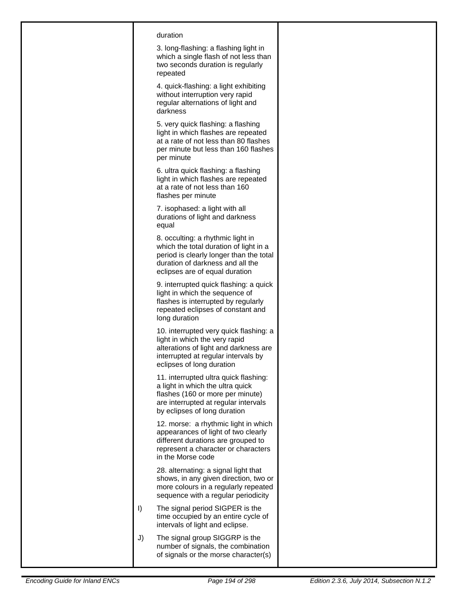| duration<br>3. long-flashing: a flashing light in<br>which a single flash of not less than<br>two seconds duration is regularly<br>repeated                                                  |  |
|----------------------------------------------------------------------------------------------------------------------------------------------------------------------------------------------|--|
| 4. quick-flashing: a light exhibiting<br>without interruption very rapid<br>regular alternations of light and<br>darkness                                                                    |  |
| 5. very quick flashing: a flashing<br>light in which flashes are repeated<br>at a rate of not less than 80 flashes<br>per minute but less than 160 flashes<br>per minute                     |  |
| 6. ultra quick flashing: a flashing<br>light in which flashes are repeated<br>at a rate of not less than 160<br>flashes per minute                                                           |  |
| 7. isophased: a light with all<br>durations of light and darkness<br>equal                                                                                                                   |  |
| 8. occulting: a rhythmic light in<br>which the total duration of light in a<br>period is clearly longer than the total<br>duration of darkness and all the<br>eclipses are of equal duration |  |
| 9. interrupted quick flashing: a quick<br>light in which the sequence of<br>flashes is interrupted by regularly<br>repeated eclipses of constant and<br>long duration                        |  |
| 10. interrupted very quick flashing: a<br>light in which the very rapid<br>alterations of light and darkness are<br>interrupted at regular intervals by<br>eclipses of long duration         |  |
| 11. interrupted ultra quick flashing:<br>a light in which the ultra quick<br>flashes (160 or more per minute)<br>are interrupted at regular intervals<br>by eclipses of long duration        |  |
| 12. morse: a rhythmic light in which<br>appearances of light of two clearly<br>different durations are grouped to<br>represent a character or characters<br>in the Morse code                |  |
| 28. alternating: a signal light that<br>shows, in any given direction, two or<br>more colours in a regularly repeated<br>sequence with a regular periodicity                                 |  |
| $\vert$<br>The signal period SIGPER is the<br>time occupied by an entire cycle of<br>intervals of light and eclipse.                                                                         |  |
| J)<br>The signal group SIGGRP is the<br>number of signals, the combination<br>of signals or the morse character(s)                                                                           |  |